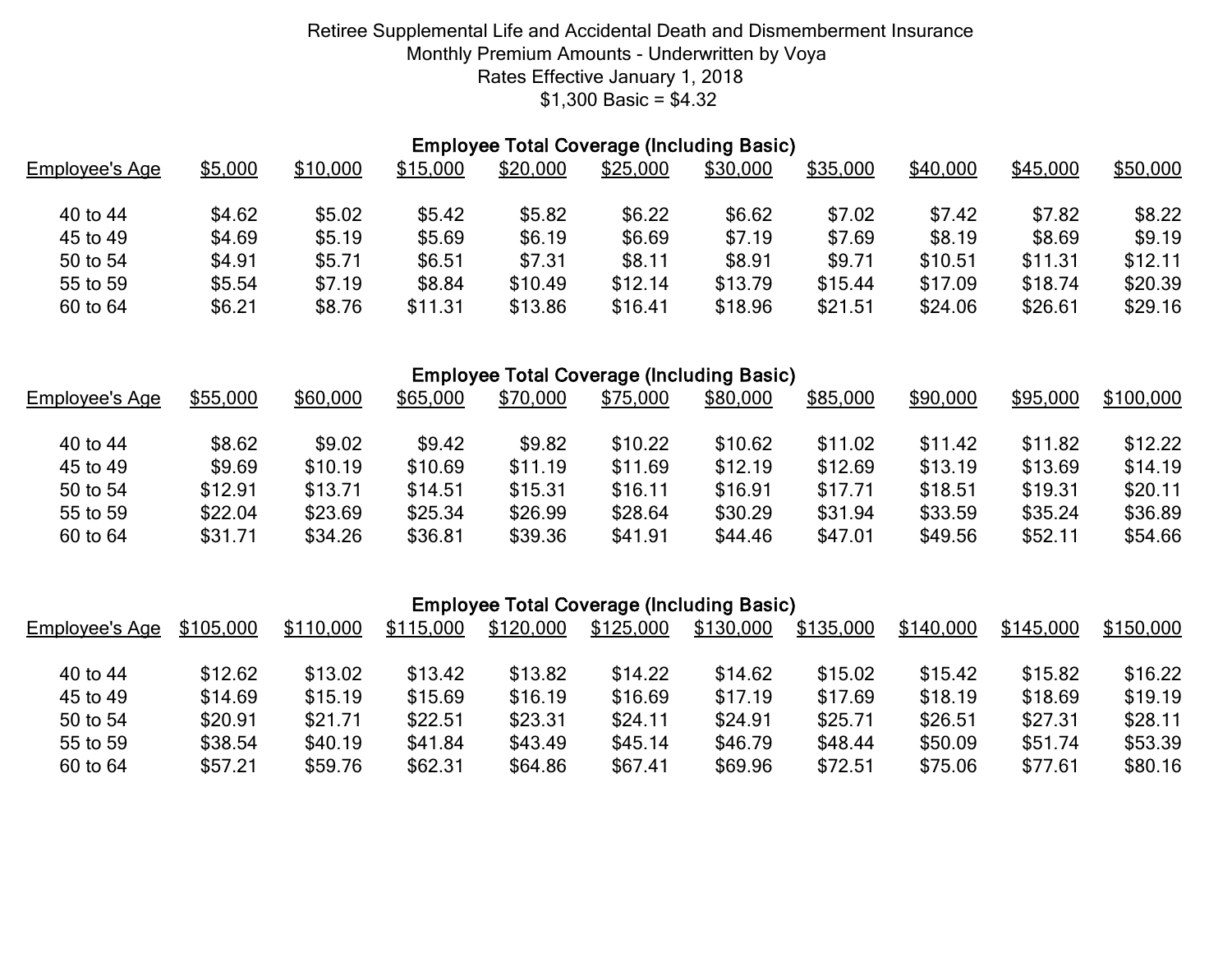|                | <b>Employee Total Coverage (Including Basic)</b> |          |          |          |          |          |          |          |          |          |  |  |
|----------------|--------------------------------------------------|----------|----------|----------|----------|----------|----------|----------|----------|----------|--|--|
| Employee's Age | \$5,000                                          | \$10,000 | \$15,000 | \$20,000 | \$25,000 | \$30,000 | \$35,000 | \$40,000 | \$45,000 | \$50,000 |  |  |
| 40 to 44       | \$4.62                                           | \$5.02   | \$5.42   | \$5.82   | \$6.22   | \$6.62   | \$7.02   | \$7.42   | \$7.82   | \$8.22   |  |  |
| 45 to 49       | \$4.69                                           | \$5.19   | \$5.69   | \$6.19   | \$6.69   | \$7.19   | \$7.69   | \$8.19   | \$8.69   | \$9.19   |  |  |
| 50 to 54       | \$4.91                                           | \$5.71   | \$6.51   | \$7.31   | \$8.11   | \$8.91   | \$9.71   | \$10.51  | \$11.31  | \$12.11  |  |  |
| 55 to 59       | \$5.54                                           | \$7.19   | \$8.84   | \$10.49  | \$12.14  | \$13.79  | \$15.44  | \$17.09  | \$18.74  | \$20.39  |  |  |
| 60 to 64       | \$6.21                                           | \$8.76   | \$11.31  | \$13.86  | \$16.41  | \$18.96  | \$21.51  | \$24.06  | \$26.61  | \$29.16  |  |  |

#### Employee Total Coverage (Including Basic)

| Employee's Age       | \$55,000           | \$60,000           | \$65,000           | \$70,000           | \$75,000           | \$80,000           | \$85,000           | \$90,000           | \$95,000           | \$100,000          |
|----------------------|--------------------|--------------------|--------------------|--------------------|--------------------|--------------------|--------------------|--------------------|--------------------|--------------------|
| 40 to 44             | \$8.62             | \$9.02             | \$9.42             | \$9.82             | \$10.22            | \$10.62            | \$11.02            | \$11.42            | \$11.82            | \$12.22            |
| 45 to 49             | \$9.69             | \$10.19            | \$10.69            | \$11.19            | \$11.69            | \$12.19            | \$12.69            | \$13.19            | \$13.69            | \$14.19            |
| 50 to 54             | \$12.91            | \$13.71            | \$14.51            | \$15.31            | \$16.11            | \$16.91            | \$17.71            | \$18.51            | \$19.31            | \$20.11            |
| 55 to 59<br>60 to 64 | \$22.04<br>\$31.71 | \$23.69<br>\$34.26 | \$25.34<br>\$36.81 | \$26.99<br>\$39.36 | \$28.64<br>\$41.91 | \$30.29<br>\$44.46 | \$31.94<br>\$47.01 | \$33.59<br>\$49.56 | \$35.24<br>\$52.11 | \$36.89<br>\$54.66 |

# Employee Total Coverage (Including Basic)

| Employee's Age | \$105,000 | \$110,000 | \$115,000 | \$120,000 | \$125,000 | \$130,000 | \$135,000 | \$140,000 | \$145,000 | \$150,000 |
|----------------|-----------|-----------|-----------|-----------|-----------|-----------|-----------|-----------|-----------|-----------|
| 40 to 44       | \$12.62   | \$13.02   | \$13.42   | \$13.82   | \$14.22   | \$14.62   | \$15.02   | \$15.42   | \$15.82   | \$16.22   |
| 45 to 49       | \$14.69   | \$15.19   | \$15.69   | \$16.19   | \$16.69   | \$17.19   | \$17.69   | \$18.19   | \$18.69   | \$19.19   |
| 50 to 54       | \$20.91   | \$21.71   | \$22.51   | \$23.31   | \$24.11   | \$24.91   | \$25.71   | \$26.51   | \$27.31   | \$28.11   |
| 55 to 59       | \$38.54   | \$40.19   | \$41.84   | \$43.49   | \$45.14   | \$46.79   | \$48.44   | \$50.09   | \$51.74   | \$53.39   |
| 60 to 64       | \$57.21   | \$59.76   | \$62.31   | \$64.86   | \$67.41   | \$69.96   | \$72.51   | \$75.06   | \$77.61   | \$80.16   |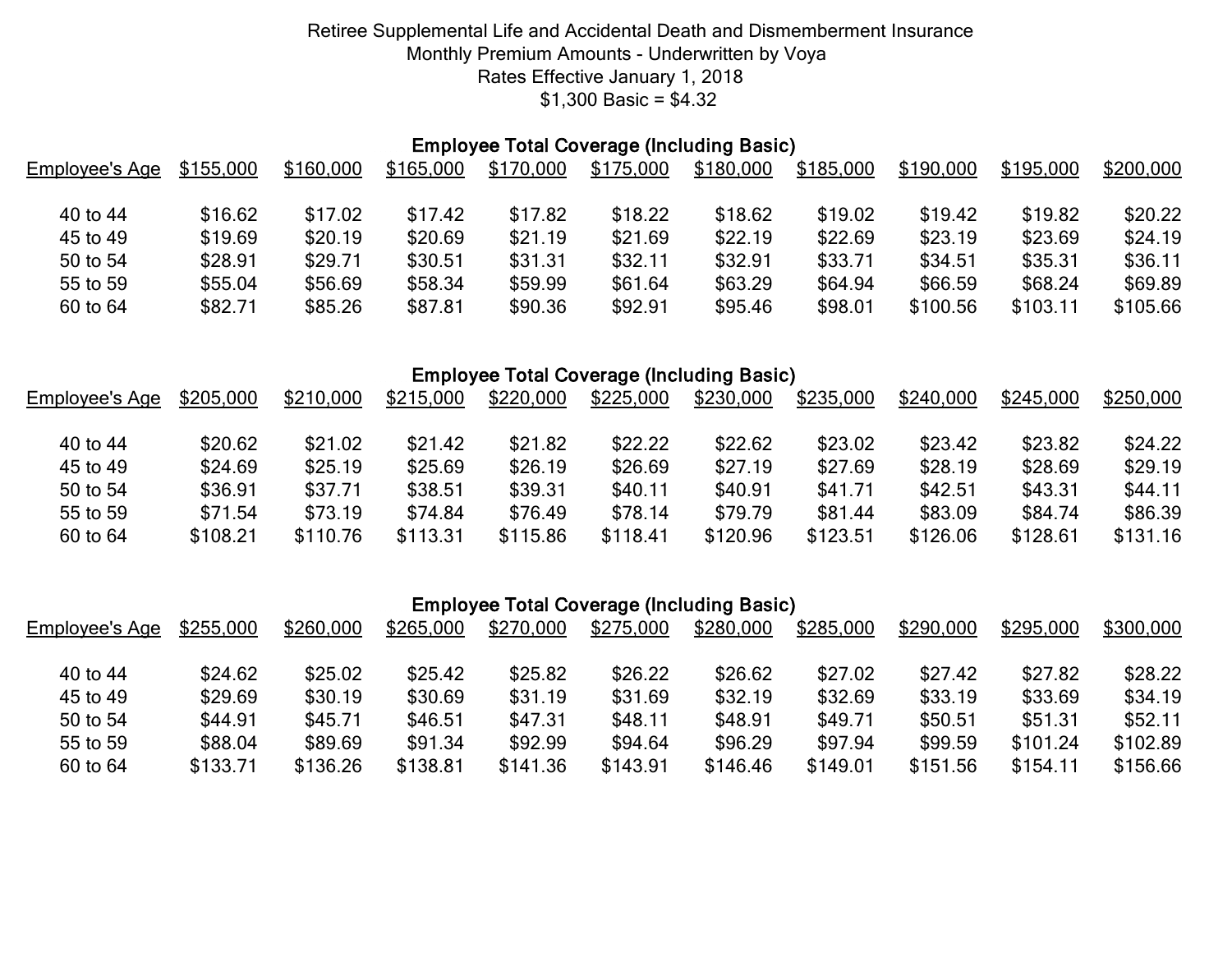| <b>Employee Total Coverage (Including Basic)</b> |           |           |           |           |           |           |           |           |           |           |  |
|--------------------------------------------------|-----------|-----------|-----------|-----------|-----------|-----------|-----------|-----------|-----------|-----------|--|
| Employee's Age                                   | \$155,000 | \$160,000 | \$165,000 | \$170,000 | \$175,000 | \$180,000 | \$185,000 | \$190,000 | \$195,000 | \$200,000 |  |
|                                                  |           |           |           |           |           |           |           |           |           |           |  |
| 40 to 44                                         | \$16.62   | \$17.02   | \$17.42   | \$17.82   | \$18.22   | \$18.62   | \$19.02   | \$19.42   | \$19.82   | \$20.22   |  |
| 45 to 49                                         | \$19.69   | \$20.19   | \$20.69   | \$21.19   | \$21.69   | \$22.19   | \$22.69   | \$23.19   | \$23.69   | \$24.19   |  |
| 50 to 54                                         | \$28.91   | \$29.71   | \$30.51   | \$31.31   | \$32.11   | \$32.91   | \$33.71   | \$34.51   | \$35.31   | \$36.11   |  |
| 55 to 59                                         | \$55.04   | \$56.69   | \$58.34   | \$59.99   | \$61.64   | \$63.29   | \$64.94   | \$66.59   | \$68.24   | \$69.89   |  |
| 60 to 64                                         | \$82.71   | \$85.26   | \$87.81   | \$90.36   | \$92.91   | \$95.46   | \$98.01   | \$100.56  | \$103.11  | \$105.66  |  |

# Employee Total Coverage (Including Basic)

| Employee's Age | \$205,000 | \$210,000 | \$215,000 | \$220,000 | \$225,000 | \$230,000 | \$235,000 | \$240,000 | \$245,000 | \$250,000 |
|----------------|-----------|-----------|-----------|-----------|-----------|-----------|-----------|-----------|-----------|-----------|
| 40 to 44       | \$20.62   | \$21.02   | \$21.42   | \$21.82   | \$22.22   | \$22.62   | \$23.02   | \$23.42   | \$23.82   | \$24.22   |
| 45 to 49       | \$24.69   | \$25.19   | \$25.69   | \$26.19   | \$26.69   | \$27.19   | \$27.69   | \$28.19   | \$28.69   | \$29.19   |
| 50 to 54       | \$36.91   | \$37.71   | \$38.51   | \$39.31   | \$40.11   | \$40.91   | \$41.71   | \$42.51   | \$43.31   | \$44.11   |
| 55 to 59       | \$71.54   | \$73.19   | \$74.84   | \$76.49   | \$78.14   | \$79.79   | \$81.44   | \$83.09   | \$84.74   | \$86.39   |
| 60 to 64       | \$108.21  | \$110.76  | \$113.31  | \$115.86  | \$118.41  | \$120.96  | \$123.51  | \$126.06  | \$128.61  | \$131.16  |

| <b>Employee Total Coverage (Including Basic)</b> |  |  |  |
|--------------------------------------------------|--|--|--|
|--------------------------------------------------|--|--|--|

| Employee's Age | \$255,000 | \$260,000 | \$265,000 | \$270,000 | \$275,000 | \$280,000 | \$285,000 | \$290,000 | \$295,000 | \$300,000 |
|----------------|-----------|-----------|-----------|-----------|-----------|-----------|-----------|-----------|-----------|-----------|
| 40 to 44       | \$24.62   | \$25.02   | \$25.42   | \$25.82   | \$26.22   | \$26.62   | \$27.02   | \$27.42   | \$27.82   | \$28.22   |
| 45 to 49       | \$29.69   | \$30.19   | \$30.69   | \$31.19   | \$31.69   | \$32.19   | \$32.69   | \$33.19   | \$33.69   | \$34.19   |
| 50 to 54       | \$44.91   | \$45.71   | \$46.51   | \$47.31   | \$48.11   | \$48.91   | \$49.71   | \$50.51   | \$51.31   | \$52.11   |
| 55 to 59       | \$88.04   | \$89.69   | \$91.34   | \$92.99   | \$94.64   | \$96.29   | \$97.94   | \$99.59   | \$101.24  | \$102.89  |
| 60 to 64       | \$133.71  | \$136.26  | \$138.81  | \$141.36  | \$143.91  | \$146.46  | \$149.01  | \$151.56  | \$154.11  | \$156.66  |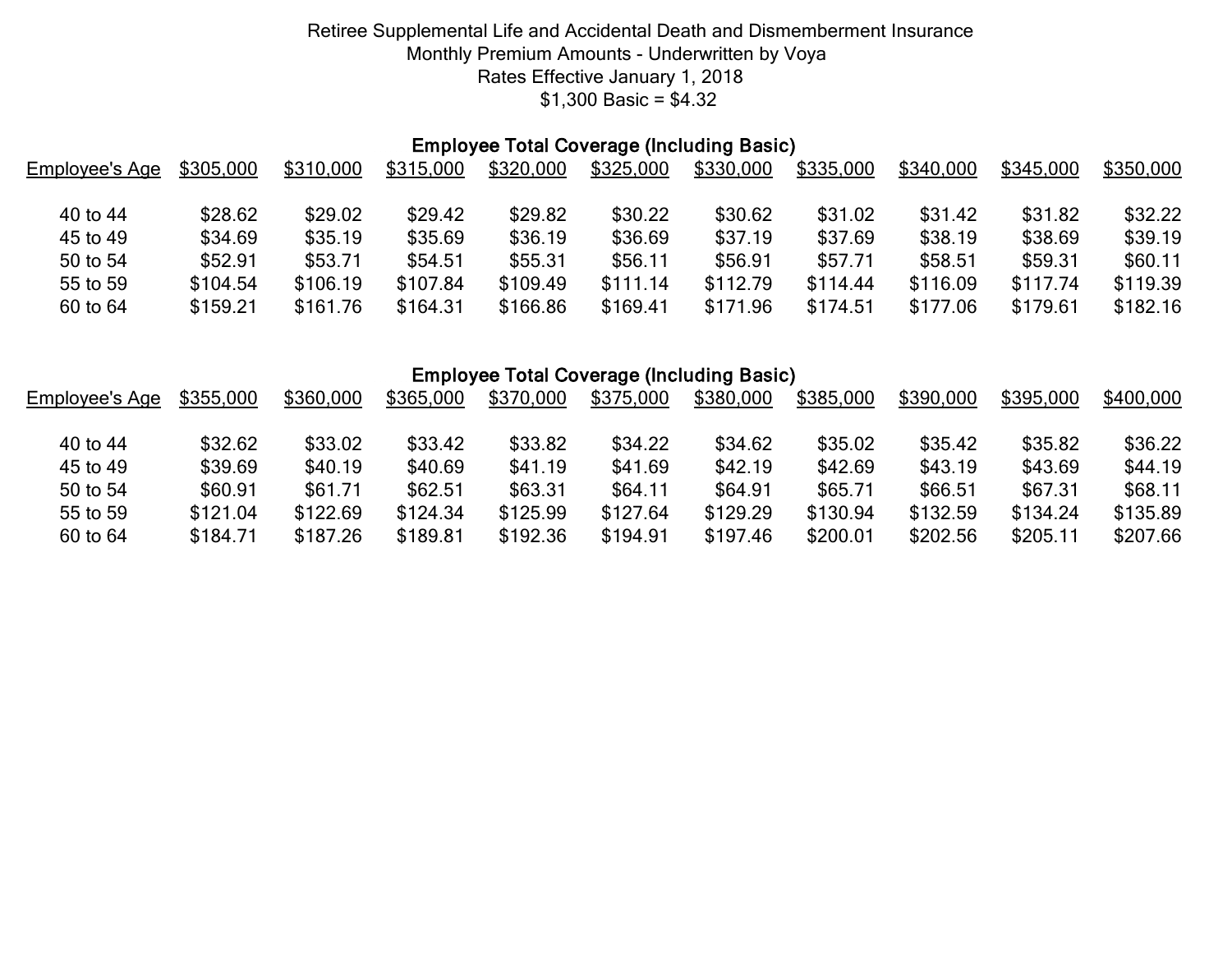# Employee Total Coverage (Including Basic)

| Employee's Age | \$305,000 | \$310,000 | \$315,000 | \$320,000 | \$325,000 | \$330,000 | \$335,000 | \$340,000 | \$345,000 | \$350,000 |
|----------------|-----------|-----------|-----------|-----------|-----------|-----------|-----------|-----------|-----------|-----------|
| 40 to 44       | \$28.62   | \$29.02   | \$29.42   | \$29.82   | \$30.22   | \$30.62   | \$31.02   | \$31.42   | \$31.82   | \$32.22   |
| 45 to 49       | \$34.69   | \$35.19   | \$35.69   | \$36.19   | \$36.69   | \$37.19   | \$37.69   | \$38.19   | \$38.69   | \$39.19   |
| 50 to 54       | \$52.91   | \$53.71   | \$54.51   | \$55.31   | \$56.11   | \$56.91   | \$57.71   | \$58.51   | \$59.31   | \$60.11   |
| 55 to 59       | \$104.54  | \$106.19  | \$107.84  | \$109.49  | \$111.14  | \$112.79  | \$114.44  | \$116.09  | \$117.74  | \$119.39  |
| 60 to 64       | \$159.21  | \$161.76  | \$164.31  | \$166.86  | \$169.41  | \$171.96  | \$174.51  | \$177.06  | \$179.61  | \$182.16  |

#### Employee Total Coverage (Including Basic)

| Employee's Age | \$355,000 | \$360,000 | \$365,000 | \$370,000 | \$375,000 | \$380,000 | \$385,000 | \$390,000 | \$395,000 | \$400,000 |
|----------------|-----------|-----------|-----------|-----------|-----------|-----------|-----------|-----------|-----------|-----------|
| 40 to 44       | \$32.62   | \$33.02   | \$33.42   | \$33.82   | \$34.22   | \$34.62   | \$35.02   | \$35.42   | \$35.82   | \$36.22   |
| 45 to 49       | \$39.69   | \$40.19   | \$40.69   | \$41.19   | \$41.69   | \$42.19   | \$42.69   | \$43.19   | \$43.69   | \$44.19   |
| 50 to 54       | \$60.91   | \$61.71   | \$62.51   | \$63.31   | \$64.11   | \$64.91   | \$65.71   | \$66.51   | \$67.31   | \$68.11   |
| 55 to 59       | \$121.04  | \$122.69  | \$124.34  | \$125.99  | \$127.64  | \$129.29  | \$130.94  | \$132.59  | \$134.24  | \$135.89  |
| 60 to 64       | \$184.71  | \$187.26  | \$189.81  | \$192.36  | \$194.91  | \$197.46  | \$200.01  | \$202.56  | \$205.11  | \$207.66  |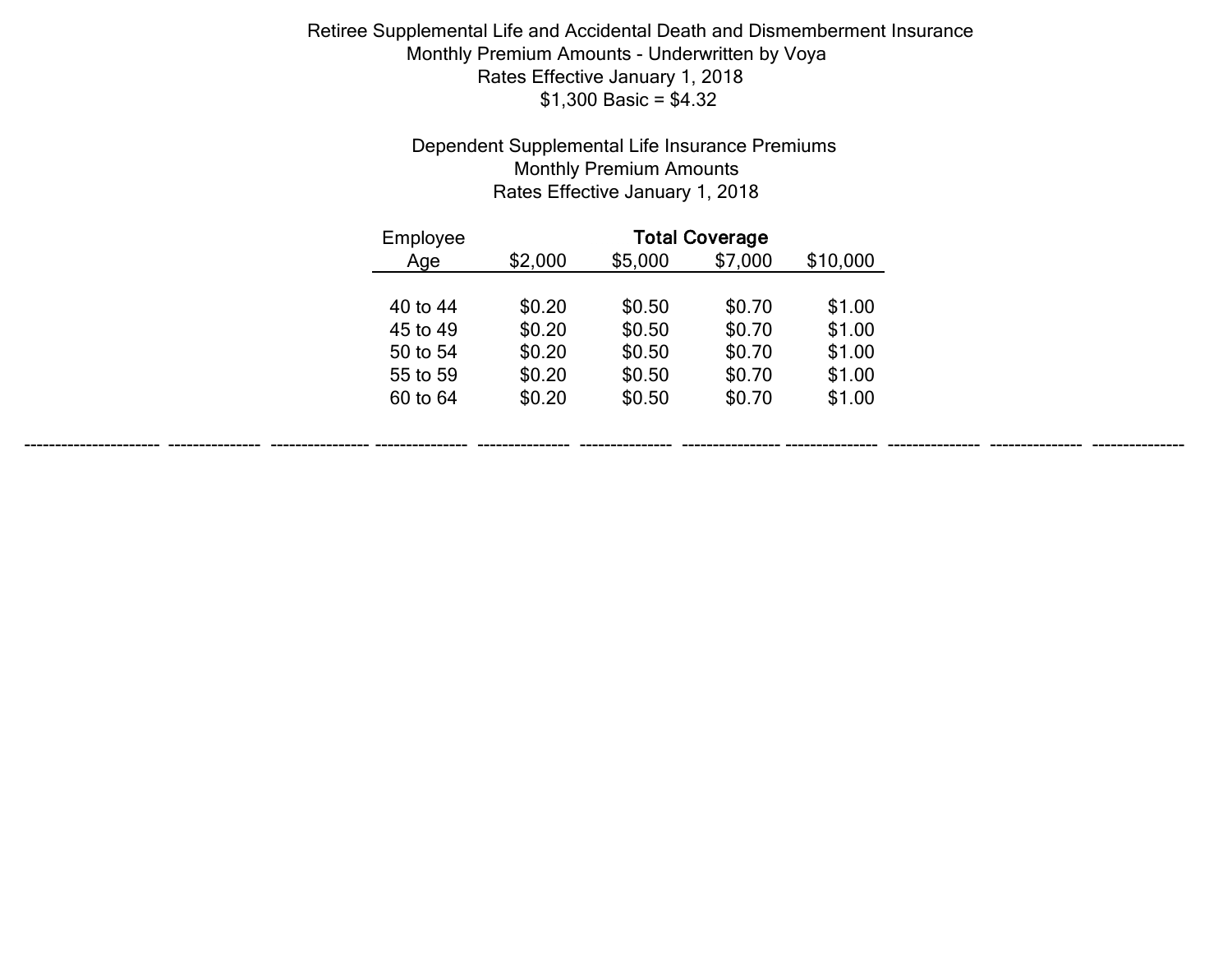# Dependent Supplemental Life Insurance Premiums Monthly Premium Amounts Rates Effective January 1, 2018

| Employee |         |         | <b>Total Coverage</b> |          |
|----------|---------|---------|-----------------------|----------|
| Age      | \$2,000 | \$5,000 | \$7,000               | \$10,000 |
|          |         |         |                       |          |
| 40 to 44 | \$0.20  | \$0.50  | \$0.70                | \$1.00   |
| 45 to 49 | \$0.20  | \$0.50  | \$0.70                | \$1.00   |
| 50 to 54 | \$0.20  | \$0.50  | \$0.70                | \$1.00   |
| 55 to 59 | \$0.20  | \$0.50  | \$0.70                | \$1.00   |
| 60 to 64 | \$0.20  | \$0.50  | \$0.70                | \$1.00   |
|          |         |         |                       |          |

---------------------- --------------- ---------------- --------------- --------------- --------------- ---------------- --------------- --------------- --------------- ---------------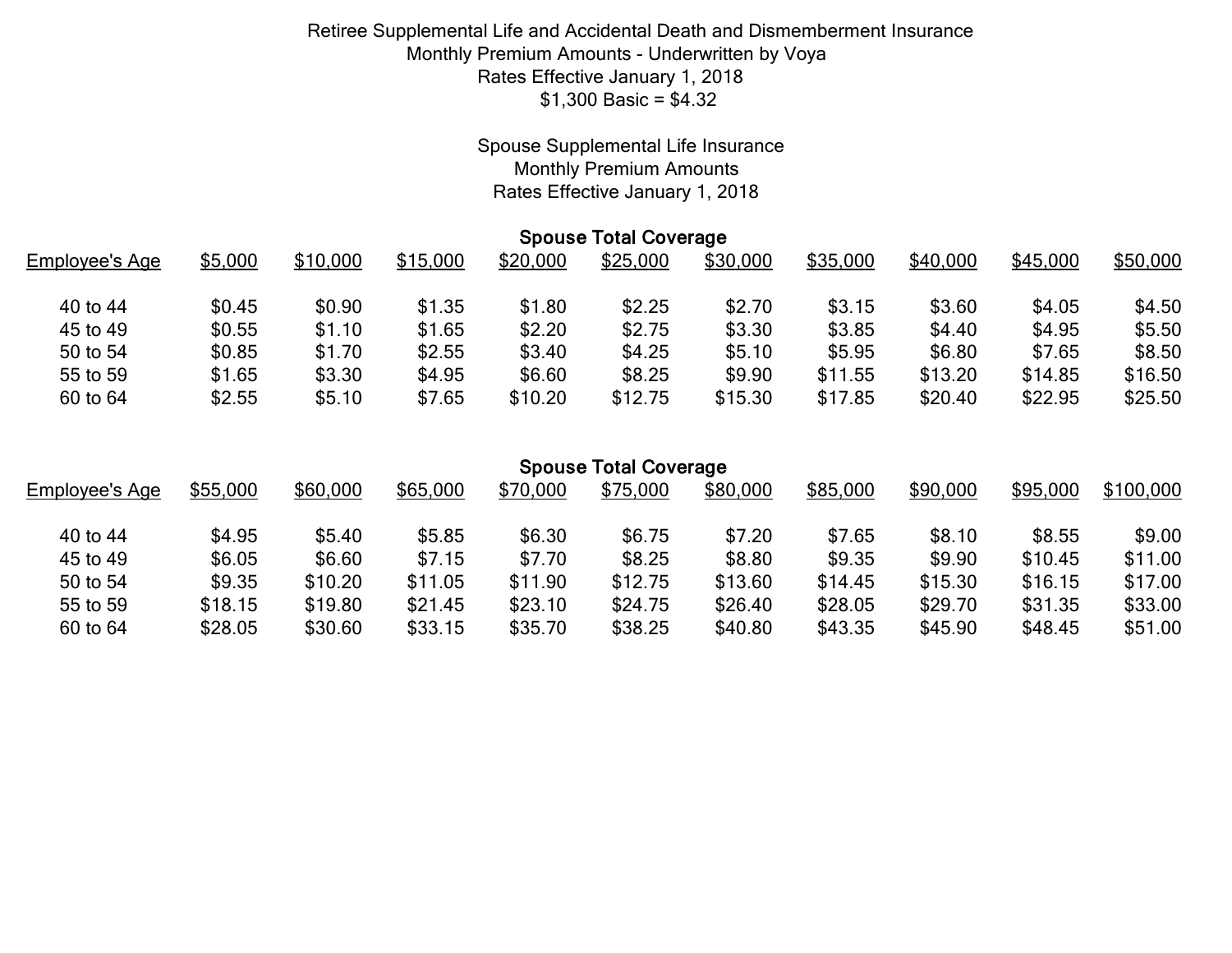# Spouse Supplemental Life Insurance Monthly Premium Amounts Rates Effective January 1, 2018

|                | <b>Spouse Total Coverage</b> |          |          |          |          |          |          |          |          |          |  |
|----------------|------------------------------|----------|----------|----------|----------|----------|----------|----------|----------|----------|--|
| Employee's Age | \$5,000                      | \$10,000 | \$15,000 | \$20,000 | \$25,000 | \$30,000 | \$35,000 | \$40,000 | \$45,000 | \$50,000 |  |
| 40 to 44       | \$0.45                       | \$0.90   | \$1.35   | \$1.80   | \$2.25   | \$2.70   | \$3.15   | \$3.60   | \$4.05   | \$4.50   |  |
| 45 to 49       | \$0.55                       | \$1.10   | \$1.65   | \$2.20   | \$2.75   | \$3.30   | \$3.85   | \$4.40   | \$4.95   | \$5.50   |  |
| 50 to 54       | \$0.85                       | \$1.70   | \$2.55   | \$3.40   | \$4.25   | \$5.10   | \$5.95   | \$6.80   | \$7.65   | \$8.50   |  |
| 55 to 59       | \$1.65                       | \$3.30   | \$4.95   | \$6.60   | \$8.25   | \$9.90   | \$11.55  | \$13.20  | \$14.85  | \$16.50  |  |
| 60 to 64       | \$2.55                       | \$5.10   | \$7.65   | \$10.20  | \$12.75  | \$15.30  | \$17.85  | \$20.40  | \$22.95  | \$25.50  |  |
|                |                              |          |          |          |          |          |          |          |          |          |  |

|                | <b>Spouse Total Coverage</b> |          |          |          |          |          |          |          |          |           |  |  |
|----------------|------------------------------|----------|----------|----------|----------|----------|----------|----------|----------|-----------|--|--|
| Employee's Age | \$55,000                     | \$60,000 | \$65,000 | \$70,000 | \$75,000 | \$80,000 | \$85,000 | \$90,000 | \$95,000 | \$100,000 |  |  |
| 40 to 44       | \$4.95                       | \$5.40   | \$5.85   | \$6.30   | \$6.75   | \$7.20   | \$7.65   | \$8.10   | \$8.55   | \$9.00    |  |  |
| 45 to 49       | \$6.05                       | \$6.60   | \$7.15   | \$7.70   | \$8.25   | \$8.80   | \$9.35   | \$9.90   | \$10.45  | \$11.00   |  |  |
| 50 to 54       | \$9.35                       | \$10.20  | \$11.05  | \$11.90  | \$12.75  | \$13.60  | \$14.45  | \$15.30  | \$16.15  | \$17.00   |  |  |
| 55 to 59       | \$18.15                      | \$19.80  | \$21.45  | \$23.10  | \$24.75  | \$26.40  | \$28.05  | \$29.70  | \$31.35  | \$33.00   |  |  |
| 60 to 64       | \$28.05                      | \$30.60  | \$33.15  | \$35.70  | \$38.25  | \$40.80  | \$43.35  | \$45.90  | \$48.45  | \$51.00   |  |  |